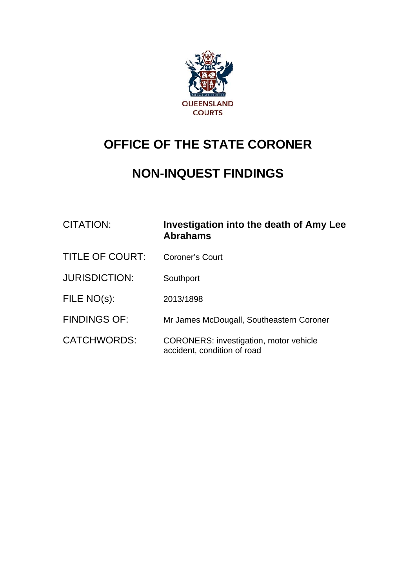

# **OFFICE OF THE STATE CORONER**

## **NON-INQUEST FINDINGS**

| <b>CITATION:</b>       | Investigation into the death of Amy Lee<br><b>Abrahams</b>                   |
|------------------------|------------------------------------------------------------------------------|
| <b>TITLE OF COURT:</b> | Coroner's Court                                                              |
| <b>JURISDICTION:</b>   | Southport                                                                    |
| FILE NO(s):            | 2013/1898                                                                    |
| <b>FINDINGS OF:</b>    | Mr James McDougall, Southeastern Coroner                                     |
| <b>CATCHWORDS:</b>     | <b>CORONERS: investigation, motor vehicle</b><br>accident, condition of road |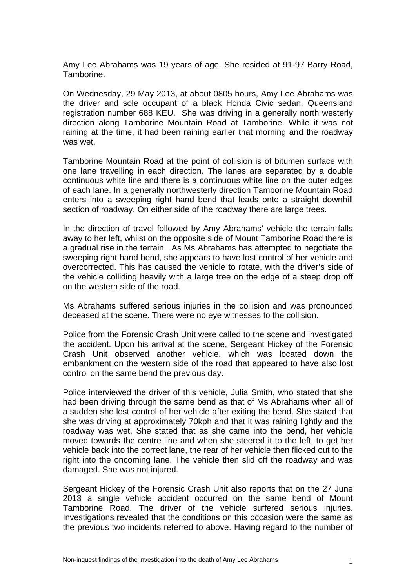Amy Lee Abrahams was 19 years of age. She resided at 91-97 Barry Road, Tamborine.

On Wednesday, 29 May 2013, at about 0805 hours, Amy Lee Abrahams was the driver and sole occupant of a black Honda Civic sedan, Queensland registration number 688 KEU. She was driving in a generally north westerly direction along Tamborine Mountain Road at Tamborine. While it was not raining at the time, it had been raining earlier that morning and the roadway was wet.

Tamborine Mountain Road at the point of collision is of bitumen surface with one lane travelling in each direction. The lanes are separated by a double continuous white line and there is a continuous white line on the outer edges of each lane. In a generally northwesterly direction Tamborine Mountain Road enters into a sweeping right hand bend that leads onto a straight downhill section of roadway. On either side of the roadway there are large trees.

In the direction of travel followed by Amy Abrahams' vehicle the terrain falls away to her left, whilst on the opposite side of Mount Tamborine Road there is a gradual rise in the terrain. As Ms Abrahams has attempted to negotiate the sweeping right hand bend, she appears to have lost control of her vehicle and overcorrected. This has caused the vehicle to rotate, with the driver's side of the vehicle colliding heavily with a large tree on the edge of a steep drop off on the western side of the road.

Ms Abrahams suffered serious injuries in the collision and was pronounced deceased at the scene. There were no eye witnesses to the collision.

Police from the Forensic Crash Unit were called to the scene and investigated the accident. Upon his arrival at the scene, Sergeant Hickey of the Forensic Crash Unit observed another vehicle, which was located down the embankment on the western side of the road that appeared to have also lost control on the same bend the previous day.

Police interviewed the driver of this vehicle, Julia Smith, who stated that she had been driving through the same bend as that of Ms Abrahams when all of a sudden she lost control of her vehicle after exiting the bend. She stated that she was driving at approximately 70kph and that it was raining lightly and the roadway was wet. She stated that as she came into the bend, her vehicle moved towards the centre line and when she steered it to the left, to get her vehicle back into the correct lane, the rear of her vehicle then flicked out to the right into the oncoming lane. The vehicle then slid off the roadway and was damaged. She was not injured.

Sergeant Hickey of the Forensic Crash Unit also reports that on the 27 June 2013 a single vehicle accident occurred on the same bend of Mount Tamborine Road. The driver of the vehicle suffered serious injuries. Investigations revealed that the conditions on this occasion were the same as the previous two incidents referred to above. Having regard to the number of